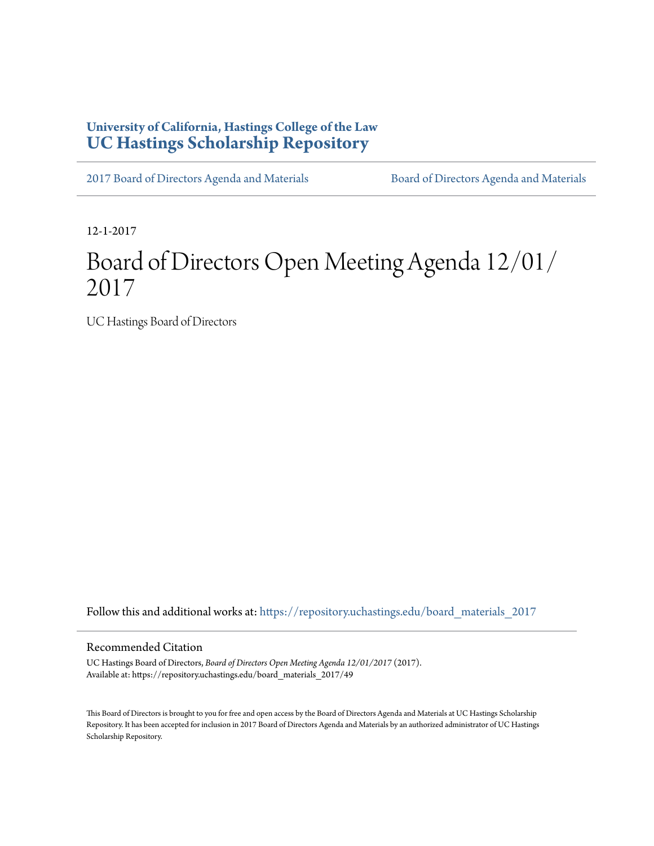## **University of California, Hastings College of the Law [UC Hastings Scholarship Repository](https://repository.uchastings.edu?utm_source=repository.uchastings.edu%2Fboard_materials_2017%2F49&utm_medium=PDF&utm_campaign=PDFCoverPages)**

[2017 Board of Directors Agenda and Materials](https://repository.uchastings.edu/board_materials_2017?utm_source=repository.uchastings.edu%2Fboard_materials_2017%2F49&utm_medium=PDF&utm_campaign=PDFCoverPages) [Board of Directors Agenda and Materials](https://repository.uchastings.edu/board_materials?utm_source=repository.uchastings.edu%2Fboard_materials_2017%2F49&utm_medium=PDF&utm_campaign=PDFCoverPages)

12-1-2017

# Board of Directors Open Meeting Agenda 12/01/ 2017

UC Hastings Board of Directors

Follow this and additional works at: [https://repository.uchastings.edu/board\\_materials\\_2017](https://repository.uchastings.edu/board_materials_2017?utm_source=repository.uchastings.edu%2Fboard_materials_2017%2F49&utm_medium=PDF&utm_campaign=PDFCoverPages)

#### Recommended Citation

UC Hastings Board of Directors, *Board of Directors Open Meeting Agenda 12/01/2017* (2017). Available at: https://repository.uchastings.edu/board\_materials\_2017/49

This Board of Directors is brought to you for free and open access by the Board of Directors Agenda and Materials at UC Hastings Scholarship Repository. It has been accepted for inclusion in 2017 Board of Directors Agenda and Materials by an authorized administrator of UC Hastings Scholarship Repository.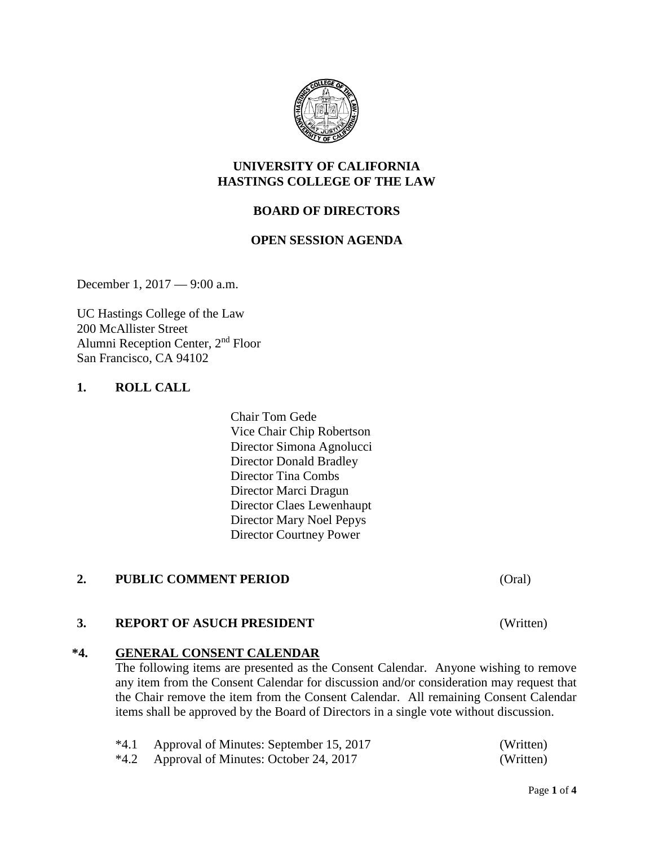

#### **UNIVERSITY OF CALIFORNIA HASTINGS COLLEGE OF THE LAW**

## **BOARD OF DIRECTORS**

#### **OPEN SESSION AGENDA**

December 1, 2017 — 9:00 a.m.

UC Hastings College of the Law 200 McAllister Street Alumni Reception Center, 2nd Floor San Francisco, CA 94102

#### **1. ROLL CALL**

Chair Tom Gede Vice Chair Chip Robertson Director Simona Agnolucci Director Donald Bradley Director Tina Combs Director Marci Dragun Director Claes Lewenhaupt Director Mary Noel Pepys Director Courtney Power

#### **2. PUBLIC COMMENT PERIOD** (Oral)

#### **3. REPORT OF ASUCH PRESIDENT** (Written)

#### **\*4. GENERAL CONSENT CALENDAR**

The following items are presented as the Consent Calendar. Anyone wishing to remove any item from the Consent Calendar for discussion and/or consideration may request that the Chair remove the item from the Consent Calendar. All remaining Consent Calendar items shall be approved by the Board of Directors in a single vote without discussion.

| *4.1 Approval of Minutes: September 15, 2017 | (Written) |
|----------------------------------------------|-----------|
| *4.2 Approval of Minutes: October 24, 2017   | (Written) |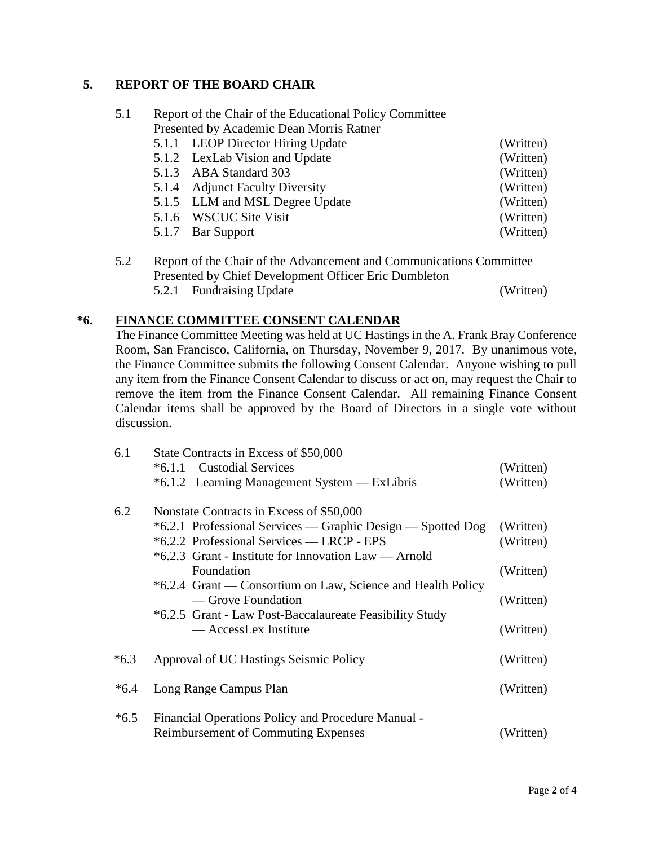## **5. REPORT OF THE BOARD CHAIR**

| 5.1 | Report of the Chair of the Educational Policy Committee |           |  |
|-----|---------------------------------------------------------|-----------|--|
|     | Presented by Academic Dean Morris Ratner                |           |  |
|     | 5.1.1 LEOP Director Hiring Update                       | (Written) |  |
|     | 5.1.2 LexLab Vision and Update                          | (Written) |  |
|     | 5.1.3 ABA Standard 303                                  | (Written) |  |
|     | 5.1.4 Adjunct Faculty Diversity                         | (Written) |  |
|     | 5.1.5 LLM and MSL Degree Update                         | (Written) |  |
|     | 5.1.6 WSCUC Site Visit                                  | (Written) |  |
|     | 5.1.7 Bar Support                                       | (Written) |  |
|     |                                                         |           |  |

| 5.2 | Report of the Chair of the Advancement and Communications Committee |                                                       |           |
|-----|---------------------------------------------------------------------|-------------------------------------------------------|-----------|
|     |                                                                     | Presented by Chief Development Officer Eric Dumbleton |           |
|     |                                                                     | 5.2.1 Fundraising Update                              | (Written) |

### **\*6. FINANCE COMMITTEE CONSENT CALENDAR**

The Finance Committee Meeting was held at UC Hastings in the A. Frank Bray Conference Room, San Francisco, California, on Thursday, November 9, 2017. By unanimous vote, the Finance Committee submits the following Consent Calendar. Anyone wishing to pull any item from the Finance Consent Calendar to discuss or act on, may request the Chair to remove the item from the Finance Consent Calendar. All remaining Finance Consent Calendar items shall be approved by the Board of Directors in a single vote without discussion.

| 6.1    | State Contracts in Excess of \$50,000                       |           |  |  |
|--------|-------------------------------------------------------------|-----------|--|--|
|        | *6.1.1 Custodial Services                                   | (Written) |  |  |
|        | *6.1.2 Learning Management System — ExLibris                | (Written) |  |  |
| 6.2    | Nonstate Contracts in Excess of \$50,000                    |           |  |  |
|        | *6.2.1 Professional Services — Graphic Design — Spotted Dog | (Written) |  |  |
|        | *6.2.2 Professional Services — LRCP - EPS                   | (Written) |  |  |
|        | *6.2.3 Grant - Institute for Innovation Law — Arnold        |           |  |  |
|        | Foundation                                                  | (Written) |  |  |
|        | *6.2.4 Grant — Consortium on Law, Science and Health Policy |           |  |  |
|        | — Grove Foundation                                          | (Written) |  |  |
|        | *6.2.5 Grant - Law Post-Baccalaureate Feasibility Study     |           |  |  |
|        | — AccessLex Institute                                       | (Written) |  |  |
| $*6.3$ | Approval of UC Hastings Seismic Policy                      | (Written) |  |  |
|        |                                                             |           |  |  |
| $*6.4$ | Long Range Campus Plan                                      | (Written) |  |  |
| $*6.5$ | Financial Operations Policy and Procedure Manual -          |           |  |  |
|        | <b>Reimbursement of Commuting Expenses</b>                  | (Written) |  |  |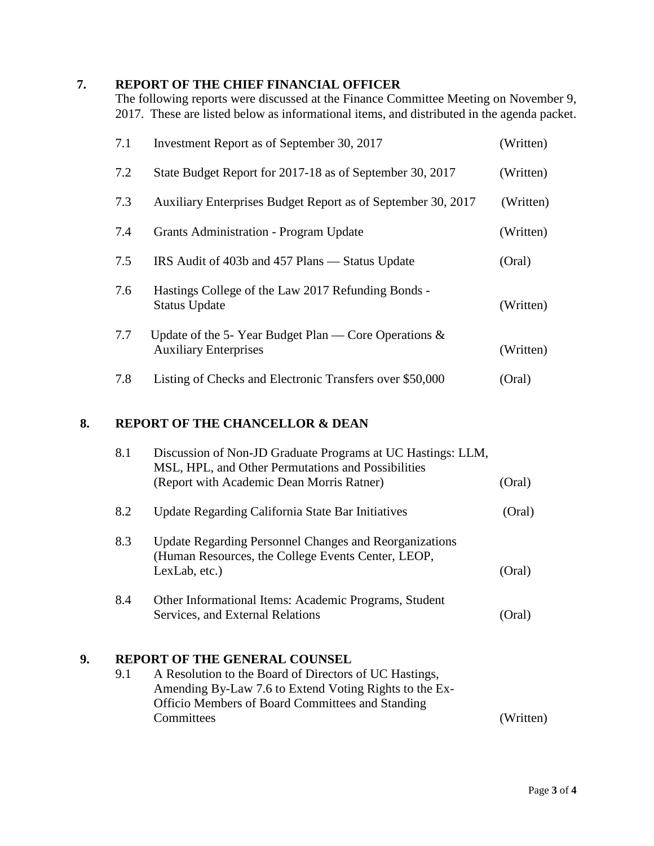## **7. REPORT OF THE CHIEF FINANCIAL OFFICER**

The following reports were discussed at the Finance Committee Meeting on November 9, 2017. These are listed below as informational items, and distributed in the agenda packet.

| 7.1 | Investment Report as of September 30, 2017                                              | (Written) |
|-----|-----------------------------------------------------------------------------------------|-----------|
| 7.2 | State Budget Report for 2017-18 as of September 30, 2017                                | (Written) |
| 7.3 | Auxiliary Enterprises Budget Report as of September 30, 2017                            | (Written) |
| 7.4 | Grants Administration - Program Update                                                  | (Written) |
| 7.5 | IRS Audit of 403b and 457 Plans — Status Update                                         | (Oral)    |
| 7.6 | Hastings College of the Law 2017 Refunding Bonds -<br><b>Status Update</b>              | (Written) |
| 7.7 | Update of the 5-Year Budget Plan — Core Operations $\&$<br><b>Auxiliary Enterprises</b> | (Written) |
| 7.8 | Listing of Checks and Electronic Transfers over \$50,000                                | (Oral)    |

## **8. REPORT OF THE CHANCELLOR & DEAN**

|    | 8.1 | Discussion of Non-JD Graduate Programs at UC Hastings: LLM,<br>MSL, HPL, and Other Permutations and Possibilities<br>(Report with Academic Dean Morris Ratner)                                                             | (Oral)    |
|----|-----|----------------------------------------------------------------------------------------------------------------------------------------------------------------------------------------------------------------------------|-----------|
|    | 8.2 | Update Regarding California State Bar Initiatives                                                                                                                                                                          | (Oral)    |
|    | 8.3 | <b>Update Regarding Personnel Changes and Reorganizations</b><br>(Human Resources, the College Events Center, LEOP,<br>LexLab, etc.)                                                                                       | (Oral)    |
|    | 8.4 | Other Informational Items: Academic Programs, Student<br>Services, and External Relations                                                                                                                                  | (Oral)    |
| 9. | 9.1 | <b>REPORT OF THE GENERAL COUNSEL</b><br>A Resolution to the Board of Directors of UC Hastings,<br>Amending By-Law 7.6 to Extend Voting Rights to the Ex-<br>Officio Members of Board Committees and Standing<br>Committees | (Written) |